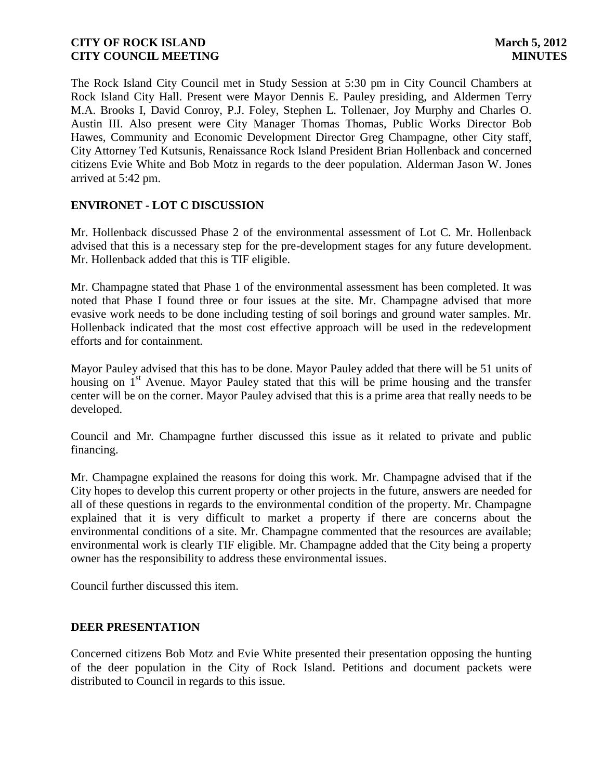The Rock Island City Council met in Study Session at 5:30 pm in City Council Chambers at Rock Island City Hall. Present were Mayor Dennis E. Pauley presiding, and Aldermen Terry M.A. Brooks I, David Conroy, P.J. Foley, Stephen L. Tollenaer, Joy Murphy and Charles O. Austin III. Also present were City Manager Thomas Thomas, Public Works Director Bob Hawes, Community and Economic Development Director Greg Champagne, other City staff, City Attorney Ted Kutsunis, Renaissance Rock Island President Brian Hollenback and concerned citizens Evie White and Bob Motz in regards to the deer population. Alderman Jason W. Jones arrived at 5:42 pm.

# **ENVIRONET - LOT C DISCUSSION**

Mr. Hollenback discussed Phase 2 of the environmental assessment of Lot C. Mr. Hollenback advised that this is a necessary step for the pre-development stages for any future development. Mr. Hollenback added that this is TIF eligible.

Mr. Champagne stated that Phase 1 of the environmental assessment has been completed. It was noted that Phase I found three or four issues at the site. Mr. Champagne advised that more evasive work needs to be done including testing of soil borings and ground water samples. Mr. Hollenback indicated that the most cost effective approach will be used in the redevelopment efforts and for containment.

Mayor Pauley advised that this has to be done. Mayor Pauley added that there will be 51 units of housing on  $1<sup>st</sup>$  Avenue. Mayor Pauley stated that this will be prime housing and the transfer center will be on the corner. Mayor Pauley advised that this is a prime area that really needs to be developed.

Council and Mr. Champagne further discussed this issue as it related to private and public financing.

Mr. Champagne explained the reasons for doing this work. Mr. Champagne advised that if the City hopes to develop this current property or other projects in the future, answers are needed for all of these questions in regards to the environmental condition of the property. Mr. Champagne explained that it is very difficult to market a property if there are concerns about the environmental conditions of a site. Mr. Champagne commented that the resources are available; environmental work is clearly TIF eligible. Mr. Champagne added that the City being a property owner has the responsibility to address these environmental issues.

Council further discussed this item.

### **DEER PRESENTATION**

Concerned citizens Bob Motz and Evie White presented their presentation opposing the hunting of the deer population in the City of Rock Island. Petitions and document packets were distributed to Council in regards to this issue.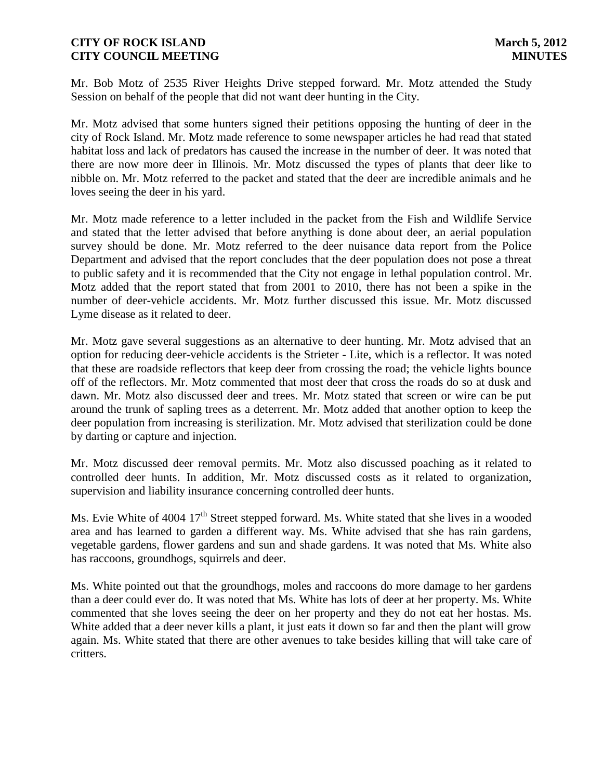Mr. Bob Motz of 2535 River Heights Drive stepped forward. Mr. Motz attended the Study Session on behalf of the people that did not want deer hunting in the City.

Mr. Motz advised that some hunters signed their petitions opposing the hunting of deer in the city of Rock Island. Mr. Motz made reference to some newspaper articles he had read that stated habitat loss and lack of predators has caused the increase in the number of deer. It was noted that there are now more deer in Illinois. Mr. Motz discussed the types of plants that deer like to nibble on. Mr. Motz referred to the packet and stated that the deer are incredible animals and he loves seeing the deer in his yard.

Mr. Motz made reference to a letter included in the packet from the Fish and Wildlife Service and stated that the letter advised that before anything is done about deer, an aerial population survey should be done. Mr. Motz referred to the deer nuisance data report from the Police Department and advised that the report concludes that the deer population does not pose a threat to public safety and it is recommended that the City not engage in lethal population control. Mr. Motz added that the report stated that from 2001 to 2010, there has not been a spike in the number of deer-vehicle accidents. Mr. Motz further discussed this issue. Mr. Motz discussed Lyme disease as it related to deer.

Mr. Motz gave several suggestions as an alternative to deer hunting. Mr. Motz advised that an option for reducing deer-vehicle accidents is the Strieter - Lite, which is a reflector. It was noted that these are roadside reflectors that keep deer from crossing the road; the vehicle lights bounce off of the reflectors. Mr. Motz commented that most deer that cross the roads do so at dusk and dawn. Mr. Motz also discussed deer and trees. Mr. Motz stated that screen or wire can be put around the trunk of sapling trees as a deterrent. Mr. Motz added that another option to keep the deer population from increasing is sterilization. Mr. Motz advised that sterilization could be done by darting or capture and injection.

Mr. Motz discussed deer removal permits. Mr. Motz also discussed poaching as it related to controlled deer hunts. In addition, Mr. Motz discussed costs as it related to organization, supervision and liability insurance concerning controlled deer hunts.

Ms. Evie White of 4004  $17<sup>th</sup>$  Street stepped forward. Ms. White stated that she lives in a wooded area and has learned to garden a different way. Ms. White advised that she has rain gardens, vegetable gardens, flower gardens and sun and shade gardens. It was noted that Ms. White also has raccoons, groundhogs, squirrels and deer.

Ms. White pointed out that the groundhogs, moles and raccoons do more damage to her gardens than a deer could ever do. It was noted that Ms. White has lots of deer at her property. Ms. White commented that she loves seeing the deer on her property and they do not eat her hostas. Ms. White added that a deer never kills a plant, it just eats it down so far and then the plant will grow again. Ms. White stated that there are other avenues to take besides killing that will take care of critters.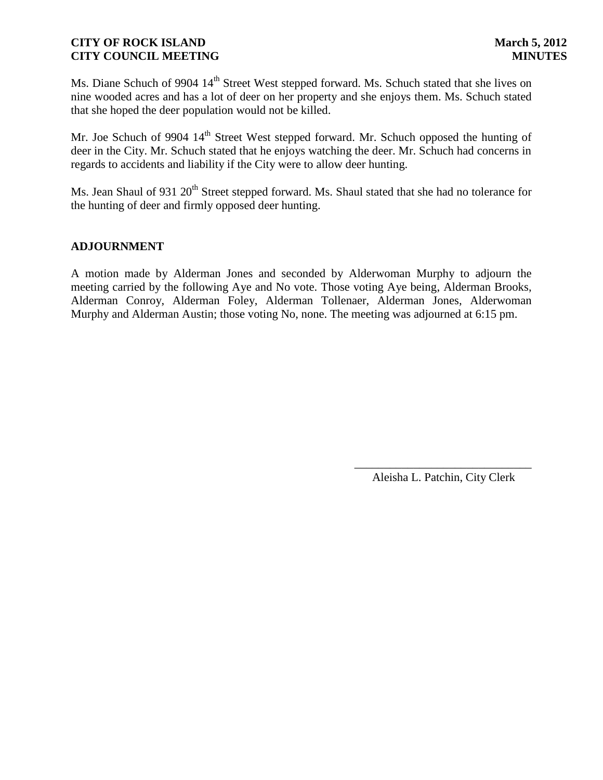Ms. Diane Schuch of 9904 14<sup>th</sup> Street West stepped forward. Ms. Schuch stated that she lives on nine wooded acres and has a lot of deer on her property and she enjoys them. Ms. Schuch stated that she hoped the deer population would not be killed.

Mr. Joe Schuch of 9904 14<sup>th</sup> Street West stepped forward. Mr. Schuch opposed the hunting of deer in the City. Mr. Schuch stated that he enjoys watching the deer. Mr. Schuch had concerns in regards to accidents and liability if the City were to allow deer hunting.

Ms. Jean Shaul of 931 20<sup>th</sup> Street stepped forward. Ms. Shaul stated that she had no tolerance for the hunting of deer and firmly opposed deer hunting.

# **ADJOURNMENT**

A motion made by Alderman Jones and seconded by Alderwoman Murphy to adjourn the meeting carried by the following Aye and No vote. Those voting Aye being, Alderman Brooks, Alderman Conroy, Alderman Foley, Alderman Tollenaer, Alderman Jones, Alderwoman Murphy and Alderman Austin; those voting No, none. The meeting was adjourned at 6:15 pm.

> \_\_\_\_\_\_\_\_\_\_\_\_\_\_\_\_\_\_\_\_\_\_\_\_\_\_\_\_\_\_ Aleisha L. Patchin, City Clerk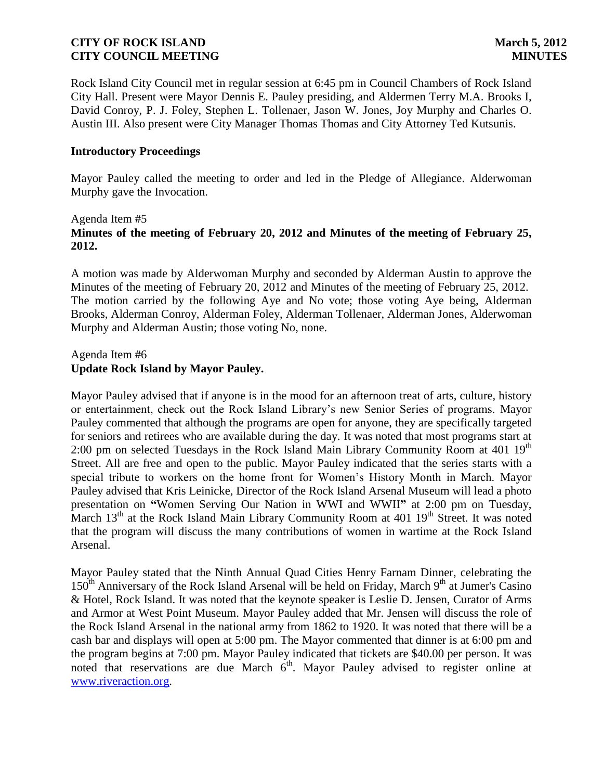Rock Island City Council met in regular session at 6:45 pm in Council Chambers of Rock Island City Hall. Present were Mayor Dennis E. Pauley presiding, and Aldermen Terry M.A. Brooks I, David Conroy, P. J. Foley, Stephen L. Tollenaer, Jason W. Jones, Joy Murphy and Charles O. Austin III. Also present were City Manager Thomas Thomas and City Attorney Ted Kutsunis.

#### **Introductory Proceedings**

Mayor Pauley called the meeting to order and led in the Pledge of Allegiance. Alderwoman Murphy gave the Invocation.

### Agenda Item #5 **Minutes of the meeting of February 20, 2012 and Minutes of the meeting of February 25, 2012.**

A motion was made by Alderwoman Murphy and seconded by Alderman Austin to approve the Minutes of the meeting of February 20, 2012 and Minutes of the meeting of February 25, 2012. The motion carried by the following Aye and No vote; those voting Aye being, Alderman Brooks, Alderman Conroy, Alderman Foley, Alderman Tollenaer, Alderman Jones, Alderwoman Murphy and Alderman Austin; those voting No, none.

#### Agenda Item #6 **Update Rock Island by Mayor Pauley.**

Mayor Pauley advised that if anyone is in the mood for an afternoon treat of arts, culture, history or entertainment, check out the Rock Island Library's new Senior Series of programs. Mayor Pauley commented that although the programs are open for anyone, they are specifically targeted for seniors and retirees who are available during the day. It was noted that most programs start at 2:00 pm on selected Tuesdays in the Rock Island Main Library Community Room at  $401 \, 19^{th}$ Street. All are free and open to the public. Mayor Pauley indicated that the series starts with a special tribute to workers on the home front for Women's History Month in March. Mayor Pauley advised that Kris Leinicke, Director of the Rock Island Arsenal Museum will lead a photo presentation on **"**Women Serving Our Nation in WWI and WWII**"** at 2:00 pm on Tuesday, March  $13<sup>th</sup>$  at the Rock Island Main Library Community Room at 401  $19<sup>th</sup>$  Street. It was noted that the program will discuss the many contributions of women in wartime at the Rock Island Arsenal.

Mayor Pauley stated that the Ninth Annual Quad Cities Henry Farnam Dinner, celebrating the  $150<sup>th</sup>$  Anniversary of the Rock Island Arsenal will be held on Friday, March  $9<sup>th</sup>$  at Jumer's Casino & Hotel, Rock Island. It was noted that the keynote speaker is Leslie D. Jensen, Curator of Arms and Armor at West Point Museum. Mayor Pauley added that Mr. Jensen will discuss the role of the Rock Island Arsenal in the national army from 1862 to 1920. It was noted that there will be a cash bar and displays will open at 5:00 pm. The Mayor commented that dinner is at 6:00 pm and the program begins at 7:00 pm. Mayor Pauley indicated that tickets are \$40.00 per person. It was noted that reservations are due March 6<sup>th</sup>. Mayor Pauley advised to register online at [www.riveraction.org.](http://www.riveraction.org/)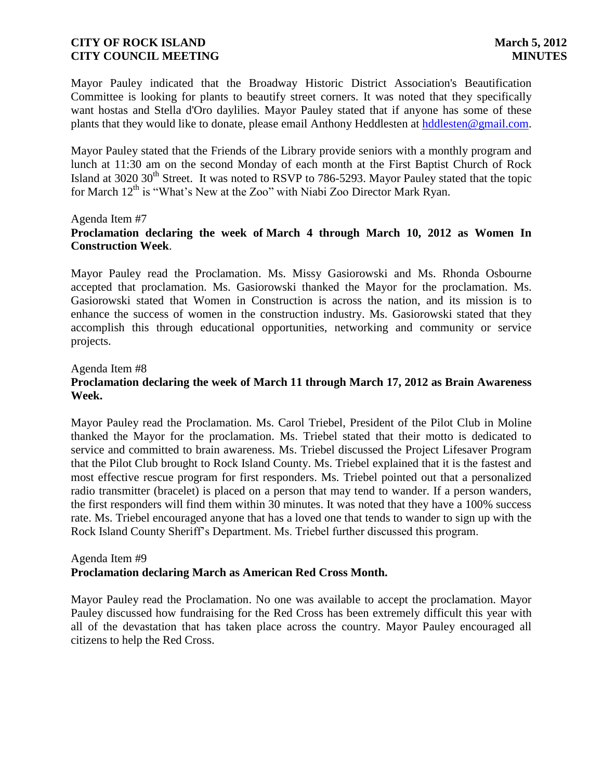Mayor Pauley indicated that the Broadway Historic District Association's Beautification Committee is looking for plants to beautify street corners. It was noted that they specifically want hostas and Stella d'Oro daylilies. Mayor Pauley stated that if anyone has some of these plants that they would like to donate, please email Anthony Heddlesten at [hddlesten@gmail.com.](mailto:hddlesten@gmail.com)

Mayor Pauley stated that the Friends of the Library provide seniors with a monthly program and lunch at 11:30 am on the second Monday of each month at the First Baptist Church of Rock Island at 3020  $30<sup>th</sup>$  Street. It was noted to RSVP to 786-5293. Mayor Pauley stated that the topic for March  $12<sup>th</sup>$  is "What's New at the Zoo" with Niabi Zoo Director Mark Ryan.

#### Agenda Item #7

# **Proclamation declaring the week of March 4 through March 10, 2012 as Women In Construction Week**.

Mayor Pauley read the Proclamation. Ms. Missy Gasiorowski and Ms. Rhonda Osbourne accepted that proclamation. Ms. Gasiorowski thanked the Mayor for the proclamation. Ms. Gasiorowski stated that Women in Construction is across the nation, and its mission is to enhance the success of women in the construction industry. Ms. Gasiorowski stated that they accomplish this through educational opportunities, networking and community or service projects.

Agenda Item #8

# **Proclamation declaring the week of March 11 through March 17, 2012 as Brain Awareness Week.**

Mayor Pauley read the Proclamation. Ms. Carol Triebel, President of the Pilot Club in Moline thanked the Mayor for the proclamation. Ms. Triebel stated that their motto is dedicated to service and committed to brain awareness. Ms. Triebel discussed the Project Lifesaver Program that the Pilot Club brought to Rock Island County. Ms. Triebel explained that it is the fastest and most effective rescue program for first responders. Ms. Triebel pointed out that a personalized radio transmitter (bracelet) is placed on a person that may tend to wander. If a person wanders, the first responders will find them within 30 minutes. It was noted that they have a 100% success rate. Ms. Triebel encouraged anyone that has a loved one that tends to wander to sign up with the Rock Island County Sheriff's Department. Ms. Triebel further discussed this program.

### Agenda Item #9 **Proclamation declaring March as American Red Cross Month.**

Mayor Pauley read the Proclamation. No one was available to accept the proclamation. Mayor Pauley discussed how fundraising for the Red Cross has been extremely difficult this year with all of the devastation that has taken place across the country. Mayor Pauley encouraged all citizens to help the Red Cross.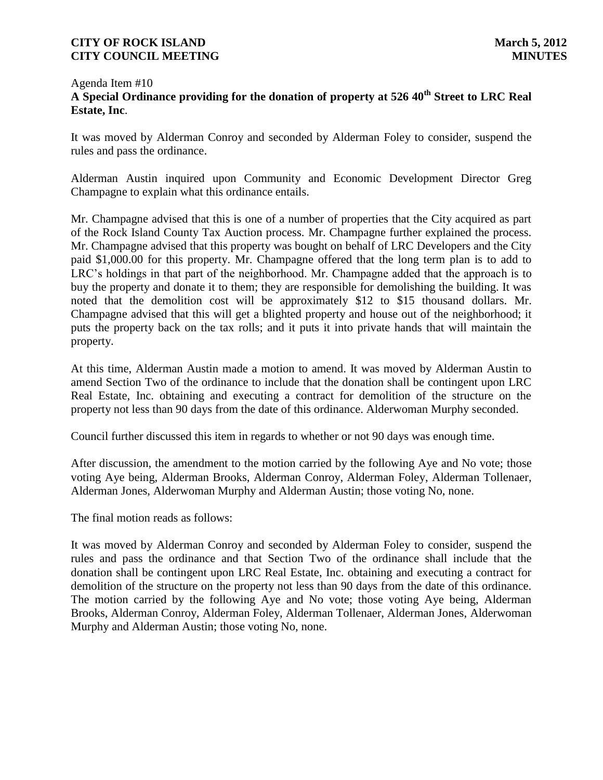### Agenda Item #10 **A Special Ordinance providing for the donation of property at 526 40th Street to LRC Real Estate, Inc**.

It was moved by Alderman Conroy and seconded by Alderman Foley to consider, suspend the rules and pass the ordinance.

Alderman Austin inquired upon Community and Economic Development Director Greg Champagne to explain what this ordinance entails.

Mr. Champagne advised that this is one of a number of properties that the City acquired as part of the Rock Island County Tax Auction process. Mr. Champagne further explained the process. Mr. Champagne advised that this property was bought on behalf of LRC Developers and the City paid \$1,000.00 for this property. Mr. Champagne offered that the long term plan is to add to LRC's holdings in that part of the neighborhood. Mr. Champagne added that the approach is to buy the property and donate it to them; they are responsible for demolishing the building. It was noted that the demolition cost will be approximately \$12 to \$15 thousand dollars. Mr. Champagne advised that this will get a blighted property and house out of the neighborhood; it puts the property back on the tax rolls; and it puts it into private hands that will maintain the property.

At this time, Alderman Austin made a motion to amend. It was moved by Alderman Austin to amend Section Two of the ordinance to include that the donation shall be contingent upon LRC Real Estate, Inc. obtaining and executing a contract for demolition of the structure on the property not less than 90 days from the date of this ordinance. Alderwoman Murphy seconded.

Council further discussed this item in regards to whether or not 90 days was enough time.

After discussion, the amendment to the motion carried by the following Aye and No vote; those voting Aye being, Alderman Brooks, Alderman Conroy, Alderman Foley, Alderman Tollenaer, Alderman Jones, Alderwoman Murphy and Alderman Austin; those voting No, none.

The final motion reads as follows:

It was moved by Alderman Conroy and seconded by Alderman Foley to consider, suspend the rules and pass the ordinance and that Section Two of the ordinance shall include that the donation shall be contingent upon LRC Real Estate, Inc. obtaining and executing a contract for demolition of the structure on the property not less than 90 days from the date of this ordinance. The motion carried by the following Aye and No vote; those voting Aye being, Alderman Brooks, Alderman Conroy, Alderman Foley, Alderman Tollenaer, Alderman Jones, Alderwoman Murphy and Alderman Austin; those voting No, none.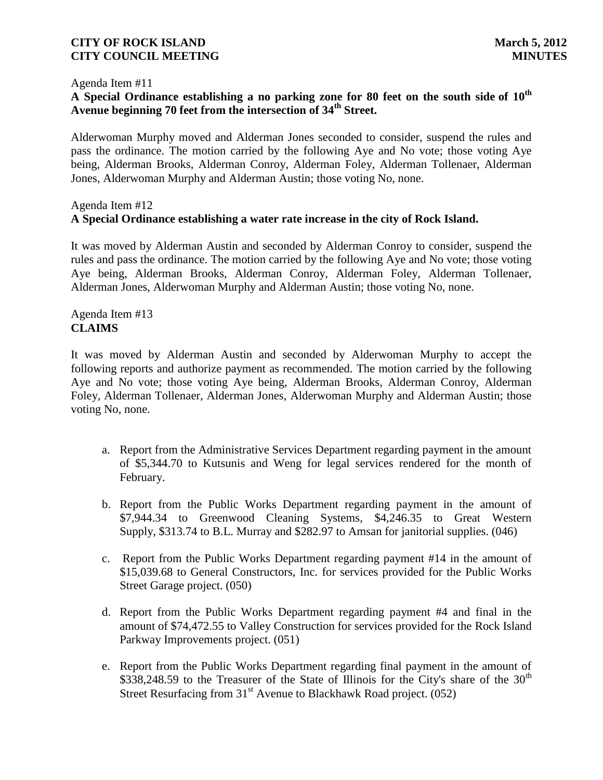#### Agenda Item #11

# **A Special Ordinance establishing a no parking zone for 80 feet on the south side of 10th Avenue beginning 70 feet from the intersection of 34th Street.**

Alderwoman Murphy moved and Alderman Jones seconded to consider, suspend the rules and pass the ordinance. The motion carried by the following Aye and No vote; those voting Aye being, Alderman Brooks, Alderman Conroy, Alderman Foley, Alderman Tollenaer, Alderman Jones, Alderwoman Murphy and Alderman Austin; those voting No, none.

# Agenda Item #12 **A Special Ordinance establishing a water rate increase in the city of Rock Island.**

It was moved by Alderman Austin and seconded by Alderman Conroy to consider, suspend the rules and pass the ordinance. The motion carried by the following Aye and No vote; those voting Aye being, Alderman Brooks, Alderman Conroy, Alderman Foley, Alderman Tollenaer, Alderman Jones, Alderwoman Murphy and Alderman Austin; those voting No, none.

# Agenda Item #13 **CLAIMS**

It was moved by Alderman Austin and seconded by Alderwoman Murphy to accept the following reports and authorize payment as recommended. The motion carried by the following Aye and No vote; those voting Aye being, Alderman Brooks, Alderman Conroy, Alderman Foley, Alderman Tollenaer, Alderman Jones, Alderwoman Murphy and Alderman Austin; those voting No, none.

- a. Report from the Administrative Services Department regarding payment in the amount of \$5,344.70 to Kutsunis and Weng for legal services rendered for the month of February.
- b. Report from the Public Works Department regarding payment in the amount of \$7,944.34 to Greenwood Cleaning Systems, \$4,246.35 to Great Western Supply, \$313.74 to B.L. Murray and \$282.97 to Amsan for janitorial supplies. (046)
- c. Report from the Public Works Department regarding payment #14 in the amount of \$15,039.68 to General Constructors, Inc. for services provided for the Public Works Street Garage project. (050)
- d. Report from the Public Works Department regarding payment #4 and final in the amount of \$74,472.55 to Valley Construction for services provided for the Rock Island Parkway Improvements project. (051)
- e. Report from the Public Works Department regarding final payment in the amount of \$338,248.59 to the Treasurer of the State of Illinois for the City's share of the  $30<sup>th</sup>$ Street Resurfacing from  $31<sup>st</sup>$  Avenue to Blackhawk Road project. (052)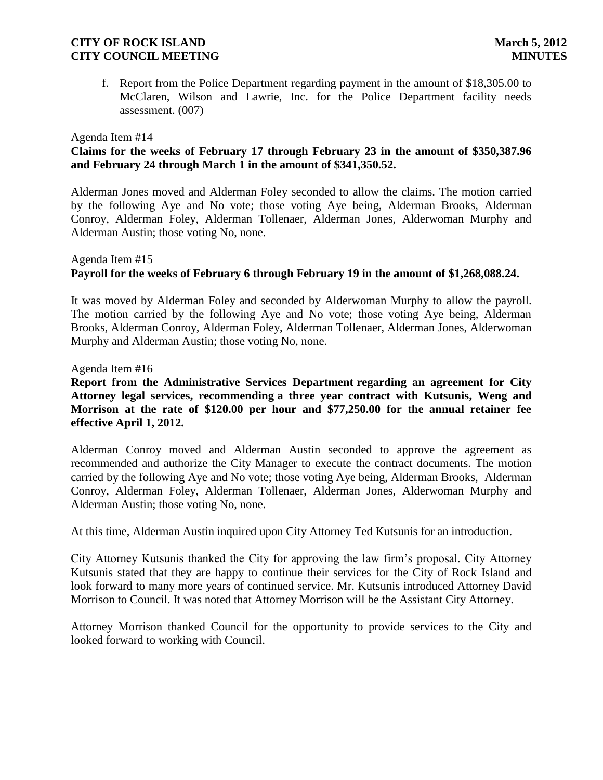f. Report from the Police Department regarding payment in the amount of \$18,305.00 to McClaren, Wilson and Lawrie, Inc. for the Police Department facility needs assessment. (007)

#### Agenda Item #14

# **Claims for the weeks of February 17 through February 23 in the amount of \$350,387.96 and February 24 through March 1 in the amount of \$341,350.52.**

Alderman Jones moved and Alderman Foley seconded to allow the claims. The motion carried by the following Aye and No vote; those voting Aye being, Alderman Brooks, Alderman Conroy, Alderman Foley, Alderman Tollenaer, Alderman Jones, Alderwoman Murphy and Alderman Austin; those voting No, none.

#### Agenda Item #15 **Payroll for the weeks of February 6 through February 19 in the amount of \$1,268,088.24.**

 It was moved by Alderman Foley and seconded by Alderwoman Murphy to allow the payroll. The motion carried by the following Aye and No vote; those voting Aye being, Alderman Brooks, Alderman Conroy, Alderman Foley, Alderman Tollenaer, Alderman Jones, Alderwoman Murphy and Alderman Austin; those voting No, none.

#### Agenda Item #16

# **Report from the Administrative Services Department regarding an agreement for City Attorney legal services, recommending a three year contract with Kutsunis, Weng and Morrison at the rate of \$120.00 per hour and \$77,250.00 for the annual retainer fee effective April 1, 2012.**

Alderman Conroy moved and Alderman Austin seconded to approve the agreement as recommended and authorize the City Manager to execute the contract documents. The motion carried by the following Aye and No vote; those voting Aye being, Alderman Brooks, Alderman Conroy, Alderman Foley, Alderman Tollenaer, Alderman Jones, Alderwoman Murphy and Alderman Austin; those voting No, none.

At this time, Alderman Austin inquired upon City Attorney Ted Kutsunis for an introduction.

City Attorney Kutsunis thanked the City for approving the law firm's proposal. City Attorney Kutsunis stated that they are happy to continue their services for the City of Rock Island and look forward to many more years of continued service. Mr. Kutsunis introduced Attorney David Morrison to Council. It was noted that Attorney Morrison will be the Assistant City Attorney.

Attorney Morrison thanked Council for the opportunity to provide services to the City and looked forward to working with Council.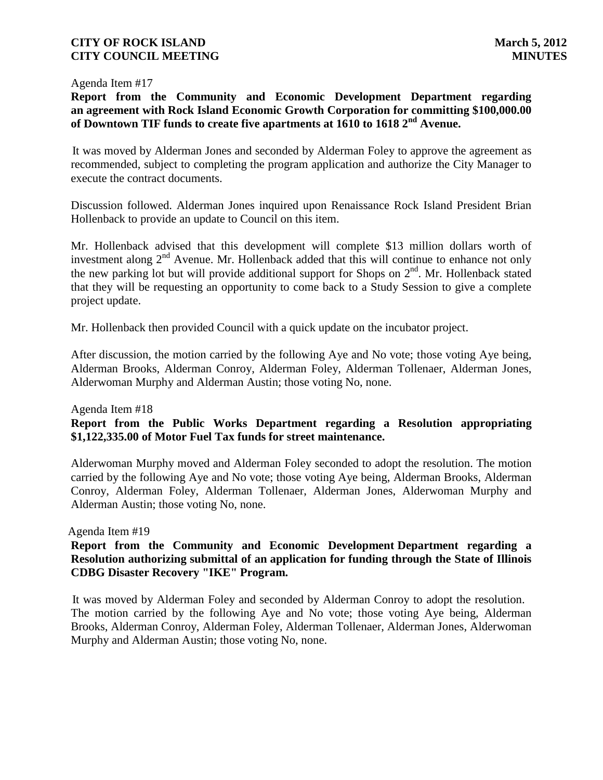#### Agenda Item #17

# **Report from the Community and Economic Development Department regarding an agreement with Rock Island Economic Growth Corporation for committing \$100,000.00 of Downtown TIF funds to create five apartments at 1610 to 1618 2nd Avenue.**

 It was moved by Alderman Jones and seconded by Alderman Foley to approve the agreement as recommended, subject to completing the program application and authorize the City Manager to execute the contract documents.

Discussion followed. Alderman Jones inquired upon Renaissance Rock Island President Brian Hollenback to provide an update to Council on this item.

Mr. Hollenback advised that this development will complete \$13 million dollars worth of investment along  $2<sup>nd</sup>$  Avenue. Mr. Hollenback added that this will continue to enhance not only the new parking lot but will provide additional support for Shops on  $2<sup>nd</sup>$ . Mr. Hollenback stated that they will be requesting an opportunity to come back to a Study Session to give a complete project update.

Mr. Hollenback then provided Council with a quick update on the incubator project.

After discussion, the motion carried by the following Aye and No vote; those voting Aye being, Alderman Brooks, Alderman Conroy, Alderman Foley, Alderman Tollenaer, Alderman Jones, Alderwoman Murphy and Alderman Austin; those voting No, none.

#### Agenda Item #18

# **Report from the Public Works Department regarding a Resolution appropriating \$1,122,335.00 of Motor Fuel Tax funds for street maintenance.**

Alderwoman Murphy moved and Alderman Foley seconded to adopt the resolution. The motion carried by the following Aye and No vote; those voting Aye being, Alderman Brooks, Alderman Conroy, Alderman Foley, Alderman Tollenaer, Alderman Jones, Alderwoman Murphy and Alderman Austin; those voting No, none.

#### Agenda Item #19

# **Report from the Community and Economic Development Department regarding a Resolution authorizing submittal of an application for funding through the State of Illinois CDBG Disaster Recovery "IKE" Program.**

 It was moved by Alderman Foley and seconded by Alderman Conroy to adopt the resolution. The motion carried by the following Aye and No vote; those voting Aye being, Alderman Brooks, Alderman Conroy, Alderman Foley, Alderman Tollenaer, Alderman Jones, Alderwoman Murphy and Alderman Austin; those voting No, none.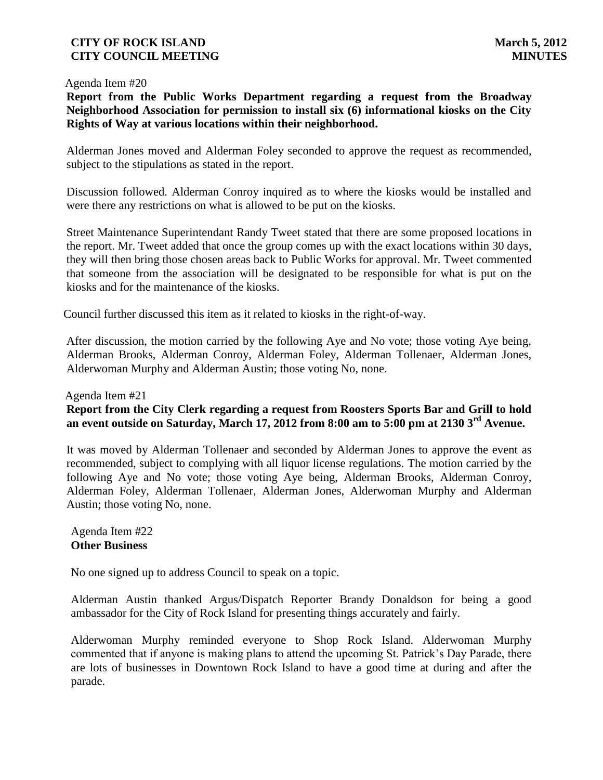#### Agenda Item #20

 **Report from the Public Works Department regarding a request from the Broadway Neighborhood Association for permission to install six (6) informational kiosks on the City Rights of Way at various locations within their neighborhood.**

Alderman Jones moved and Alderman Foley seconded to approve the request as recommended, subject to the stipulations as stated in the report.

Discussion followed. Alderman Conroy inquired as to where the kiosks would be installed and were there any restrictions on what is allowed to be put on the kiosks.

Street Maintenance Superintendant Randy Tweet stated that there are some proposed locations in the report. Mr. Tweet added that once the group comes up with the exact locations within 30 days, they will then bring those chosen areas back to Public Works for approval. Mr. Tweet commented that someone from the association will be designated to be responsible for what is put on the kiosks and for the maintenance of the kiosks.

Council further discussed this item as it related to kiosks in the right-of-way.

After discussion, the motion carried by the following Aye and No vote; those voting Aye being, Alderman Brooks, Alderman Conroy, Alderman Foley, Alderman Tollenaer, Alderman Jones, Alderwoman Murphy and Alderman Austin; those voting No, none.

#### Agenda Item #21

# **Report from the City Clerk regarding a request from Roosters Sports Bar and Grill to hold an event outside on Saturday, March 17, 2012 from 8:00 am to 5:00 pm at 2130 3rd Avenue.**

It was moved by Alderman Tollenaer and seconded by Alderman Jones to approve the event as recommended, subject to complying with all liquor license regulations. The motion carried by the following Aye and No vote; those voting Aye being, Alderman Brooks, Alderman Conroy, Alderman Foley, Alderman Tollenaer, Alderman Jones, Alderwoman Murphy and Alderman Austin; those voting No, none.

# Agenda Item #22 **Other Business**

No one signed up to address Council to speak on a topic.

Alderman Austin thanked Argus/Dispatch Reporter Brandy Donaldson for being a good ambassador for the City of Rock Island for presenting things accurately and fairly.

Alderwoman Murphy reminded everyone to Shop Rock Island. Alderwoman Murphy commented that if anyone is making plans to attend the upcoming St. Patrick's Day Parade, there are lots of businesses in Downtown Rock Island to have a good time at during and after the parade.